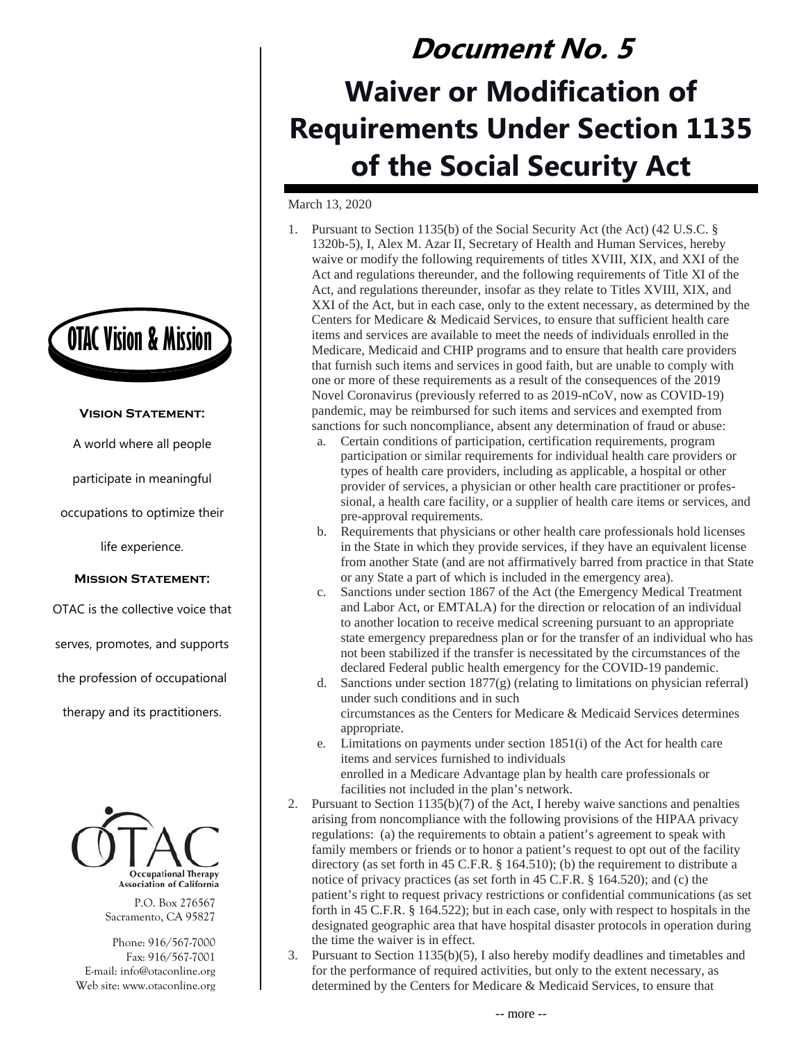

## **Vision Statement:**

A world where all people

participate in meaningful

occupations to optimize their

life experience.

## **Mission Statement:**

OTAC is the collective voice that

serves, promotes, and supports

the profession of occupational

therapy and its practitioners.



P.O. Box 276567 Sacramento, CA 95827

Phone: 916/567-7000 Fax: 916/567-7001 E-mail: info@otaconline.org Web site: www.otaconline.org

## **Document No. 5 Waiver or Modification of Requirements Under Section 1135 of the Social Security Act**

March 13, 2020

- 1. Pursuant to Section 1135(b) of the Social Security Act (the Act) (42 U.S.C. § 1320b-5), I, Alex M. Azar II, Secretary of Health and Human Services, hereby waive or modify the following requirements of titles XVIII, XIX, and XXI of the Act and regulations thereunder, and the following requirements of Title XI of the Act, and regulations thereunder, insofar as they relate to Titles XVIII, XIX, and XXI of the Act, but in each case, only to the extent necessary, as determined by the Centers for Medicare & Medicaid Services, to ensure that sufficient health care items and services are available to meet the needs of individuals enrolled in the Medicare, Medicaid and CHIP programs and to ensure that health care providers that furnish such items and services in good faith, but are unable to comply with one or more of these requirements as a result of the consequences of the 2019 Novel Coronavirus (previously referred to as 2019-nCoV, now as COVID-19) pandemic, may be reimbursed for such items and services and exempted from sanctions for such noncompliance, absent any determination of fraud or abuse:
	- a. Certain conditions of participation, certification requirements, program participation or similar requirements for individual health care providers or types of health care providers, including as applicable, a hospital or other provider of services, a physician or other health care practitioner or professional, a health care facility, or a supplier of health care items or services, and pre-approval requirements.
	- b. Requirements that physicians or other health care professionals hold licenses in the State in which they provide services, if they have an equivalent license from another State (and are not affirmatively barred from practice in that State or any State a part of which is included in the emergency area).
	- c. Sanctions under section 1867 of the Act (the Emergency Medical Treatment and Labor Act, or EMTALA) for the direction or relocation of an individual to another location to receive medical screening pursuant to an appropriate state emergency preparedness plan or for the transfer of an individual who has not been stabilized if the transfer is necessitated by the circumstances of the declared Federal public health emergency for the COVID-19 pandemic.
	- d. Sanctions under section 1877(g) (relating to limitations on physician referral) under such conditions and in such circumstances as the Centers for Medicare & Medicaid Services determines appropriate.
	- e. Limitations on payments under section 1851(i) of the Act for health care items and services furnished to individuals enrolled in a Medicare Advantage plan by health care professionals or facilities not included in the plan's network.
- 2. Pursuant to Section 1135(b)(7) of the Act, I hereby waive sanctions and penalties arising from noncompliance with the following provisions of the HIPAA privacy regulations: (a) the requirements to obtain a patient's agreement to speak with family members or friends or to honor a patient's request to opt out of the facility directory (as set forth in 45 C.F.R. § 164.510); (b) the requirement to distribute a notice of privacy practices (as set forth in 45 C.F.R. § 164.520); and (c) the patient's right to request privacy restrictions or confidential communications (as set forth in 45 C.F.R. § 164.522); but in each case, only with respect to hospitals in the designated geographic area that have hospital disaster protocols in operation during the time the waiver is in effect.
- 3. Pursuant to Section 1135(b)(5), I also hereby modify deadlines and timetables and for the performance of required activities, but only to the extent necessary, as determined by the Centers for Medicare & Medicaid Services, to ensure that